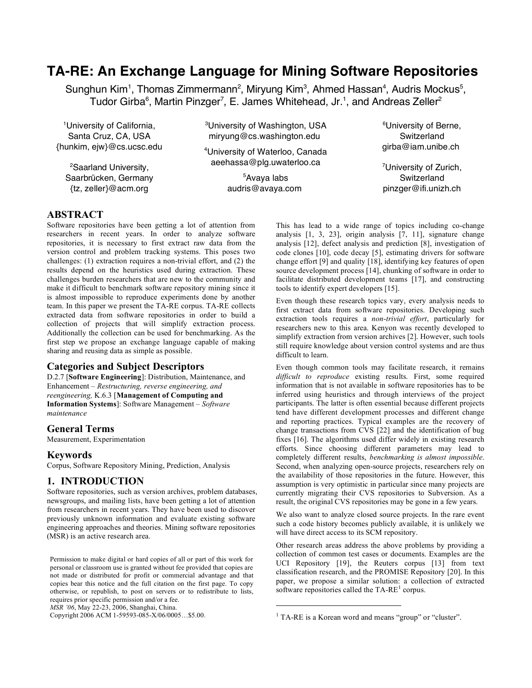# **TA-RE: An Exchange Language for Mining Software Repositories**

Sunghun Kim<sup>1</sup>, Thomas Zimmermann<sup>2</sup>, Miryung Kim<sup>3</sup>, Ahmed Hassan<sup>4</sup>, Audris Mockus<sup>5</sup>, Tudor Girba $^6$ , Martin Pinzger<sup>7</sup>, E. James Whitehead, Jr.<sup>1</sup>, and Andreas Zeller<sup>2</sup>

1 University of California, Santa Cruz, CA, USA {hunkim, ejw}@cs.ucsc.edu

<sup>2</sup>Saarland University, Saarbrücken, Germany {tz, zeller}@acm.org

<sup>3</sup>University of Washington, USA miryung@cs.washington.edu

4 University of Waterloo, Canada aeehassa@plg.uwaterloo.ca

> 5 Avaya labs audris@avaya.com

6 University of Berne, **Switzerland** girba@iam.unibe.ch

<sup>7</sup>University of Zurich, **Switzerland** pinzger@ifi.unizh.ch

### **ABSTRACT**

Software repositories have been getting a lot of attention from researchers in recent years. In order to analyze software repositories, it is necessary to first extract raw data from the version control and problem tracking systems. This poses two challenges: (1) extraction requires a non-trivial effort, and (2) the results depend on the heuristics used during extraction. These challenges burden researchers that are new to the community and make it difficult to benchmark software repository mining since it is almost impossible to reproduce experiments done by another team. In this paper we present the TA-RE corpus. TA-RE collects extracted data from software repositories in order to build a collection of projects that will simplify extraction process. Additionally the collection can be used for benchmarking. As the first step we propose an exchange language capable of making sharing and reusing data as simple as possible.

### **Categories and Subject Descriptors**

D.2.7 [**Software Engineering**]: Distribution, Maintenance, and Enhancement – *Restructuring, reverse engineering, and reengineering,* K.6.3 [**Management of Computing and Information Systems**]: Software Management – *Software maintenance*

#### **General Terms**

Measurement, Experimentation

#### **Keywords**

Corpus, Software Repository Mining, Prediction, Analysis

### **1. INTRODUCTION**

Software repositories, such as version archives, problem databases, newsgroups, and mailing lists, have been getting a lot of attention from researchers in recent years. They have been used to discover previously unknown information and evaluate existing software engineering approaches and theories. Mining software repositories (MSR) is an active research area.

Permission to make digital or hard copies of all or part of this work for personal or classroom use is granted without fee provided that copies are not made or distributed for profit or commercial advantage and that copies bear this notice and the full citation on the first page. To copy otherwise, or republish, to post on servers or to redistribute to lists, requires prior specific permission and/or a fee.

*MSR '06*, May 22-23, 2006, Shanghai, China.

Copyright 2006 ACM 1-59593-085-X/06/0005…\$5.00.

This has lead to a wide range of topics including co-change analysis [1, 3, 23], origin analysis [7, 11], signature change analysis [12], defect analysis and prediction [8], investigation of code clones [10], code decay [5], estimating drivers for software change effort [9] and quality [18], identifying key features of open source development process [14], chunking of software in order to facilitate distributed development teams [17], and constructing tools to identify expert developers [15].

Even though these research topics vary, every analysis needs to first extract data from software repositories. Developing such extraction tools requires a *non-trivial effort*, particularly for researchers new to this area. Kenyon was recently developed to simplify extraction from version archives [2]. However, such tools still require knowledge about version control systems and are thus difficult to learn.

Even though common tools may facilitate research, it remains *difficult to reproduce* existing results. First, some required information that is not available in software repositories has to be inferred using heuristics and through interviews of the project participants. The latter is often essential because different projects tend have different development processes and different change and reporting practices. Typical examples are the recovery of change transactions from CVS [22] and the identification of bug fixes [16]. The algorithms used differ widely in existing research efforts. Since choosing different parameters may lead to completely different results, *benchmarking is almost impossible*. Second, when analyzing open-source projects, researchers rely on the availability of those repositories in the future. However, this assumption is very optimistic in particular since many projects are currently migrating their CVS repositories to Subversion. As a result, the original CVS repositories may be gone in a few years.

We also want to analyze closed source projects. In the rare event such a code history becomes publicly available, it is unlikely we will have direct access to its SCM repository.

Other research areas address the above problems by providing a collection of common test cases or documents. Examples are the UCI Repository [19], the Reuters corpus [13] from text classification research, and the PROMISE Repository [20]. In this paper, we propose a similar solution: a collection of extracted software repositories called the  $TA-RE^1$  corpus.

 $\overline{a}$ 

<sup>&</sup>lt;sup>1</sup> TA-RE is a Korean word and means "group" or "cluster".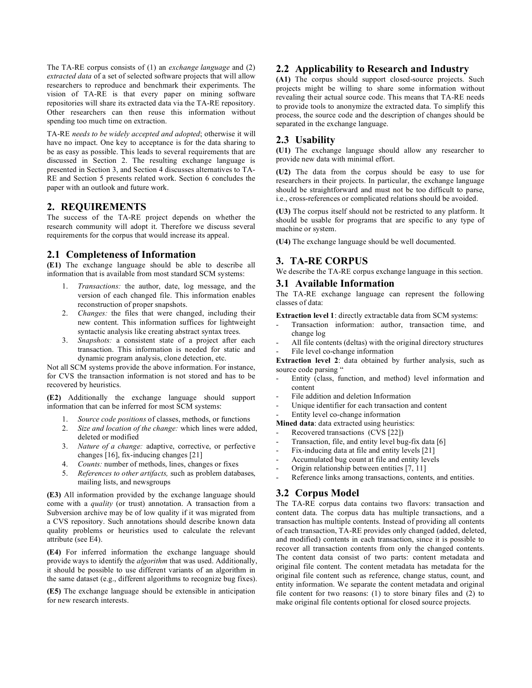The TA-RE corpus consists of (1) an *exchange language* and (2) *extracted data* of a set of selected software projects that will allow researchers to reproduce and benchmark their experiments. The vision of TA-RE is that every paper on mining software repositories will share its extracted data via the TA-RE repository. Other researchers can then reuse this information without spending too much time on extraction.

TA-RE *needs to be widely accepted and adopted*; otherwise it will have no impact. One key to acceptance is for the data sharing to be as easy as possible. This leads to several requirements that are discussed in Section 2. The resulting exchange language is presented in Section 3, and Section 4 discusses alternatives to TA-RE and Section 5 presents related work. Section 6 concludes the paper with an outlook and future work.

### **2. REQUIREMENTS**

The success of the TA-RE project depends on whether the research community will adopt it. Therefore we discuss several requirements for the corpus that would increase its appeal.

### **2.1 Completeness of Information**

**(E1)** The exchange language should be able to describe all information that is available from most standard SCM systems:

- 1. *Transactions:* the author, date, log message, and the version of each changed file. This information enables reconstruction of proper snapshots.
- 2. *Changes:* the files that were changed, including their new content. This information suffices for lightweight syntactic analysis like creating abstract syntax trees.
- 3. *Snapshots:* a consistent state of a project after each transaction. This information is needed for static and dynamic program analysis, clone detection, etc.

Not all SCM systems provide the above information. For instance, for CVS the transaction information is not stored and has to be recovered by heuristics.

**(E2)** Additionally the exchange language should support information that can be inferred for most SCM systems:

- 1. *Source code positions* of classes, methods, or functions
- 2. *Size and location of the change:* which lines were added, deleted or modified
- 3. *Nature of a change:* adaptive, corrective, or perfective changes [16], fix-inducing changes [21]
- 4. *Counts:* number of methods, lines, changes or fixes
- 5. *References to other artifacts,* such as problem databases, mailing lists, and newsgroups

**(E3)** All information provided by the exchange language should come with a *quality* (or trust) annotation. A transaction from a Subversion archive may be of low quality if it was migrated from a CVS repository. Such annotations should describe known data quality problems or heuristics used to calculate the relevant attribute (see E4).

**(E4)** For inferred information the exchange language should provide ways to identify the *algorithm* that was used. Additionally, it should be possible to use different variants of an algorithm in the same dataset (e.g., different algorithms to recognize bug fixes).

**(E5)** The exchange language should be extensible in anticipation for new research interests.

### **2.2 Applicability to Research and Industry**

**(A1)** The corpus should support closed-source projects. Such projects might be willing to share some information without revealing their actual source code. This means that TA-RE needs to provide tools to anonymize the extracted data. To simplify this process, the source code and the description of changes should be separated in the exchange language.

### **2.3 Usability**

**(U1)** The exchange language should allow any researcher to provide new data with minimal effort.

**(U2)** The data from the corpus should be easy to use for researchers in their projects. In particular, the exchange language should be straightforward and must not be too difficult to parse, i.e., cross-references or complicated relations should be avoided.

**(U3)** The corpus itself should not be restricted to any platform. It should be usable for programs that are specific to any type of machine or system.

**(U4)** The exchange language should be well documented.

### **3. TA-RE CORPUS**

We describe the TA-RE corpus exchange language in this section.

### **3.1 Available Information**

The TA-RE exchange language can represent the following classes of data:

**Extraction level 1**: directly extractable data from SCM systems:

- Transaction information: author, transaction time, and change log
- All file contents (deltas) with the original directory structures File level co-change information

**Extraction level 2**: data obtained by further analysis, such as source code parsing "

- Entity (class, function, and method) level information and content
- File addition and deletion Information
- Unique identifier for each transaction and content

Entity level co-change information

- **Mined data**: data extracted using heuristics:
- Recovered transactions (CVS [22])
- Transaction, file, and entity level bug-fix data [6]
- Fix-inducing data at file and entity levels [21]
- Accumulated bug count at file and entity levels
- Origin relationship between entities [7, 11]
- Reference links among transactions, contents, and entities.

## **3.2 Corpus Model**

The TA-RE corpus data contains two flavors: transaction and content data. The corpus data has multiple transactions, and a transaction has multiple contents. Instead of providing all contents of each transaction, TA-RE provides only changed (added, deleted, and modified) contents in each transaction, since it is possible to recover all transaction contents from only the changed contents. The content data consist of two parts: content metadata and original file content. The content metadata has metadata for the original file content such as reference, change status, count, and entity information. We separate the content metadata and original file content for two reasons: (1) to store binary files and (2) to make original file contents optional for closed source projects.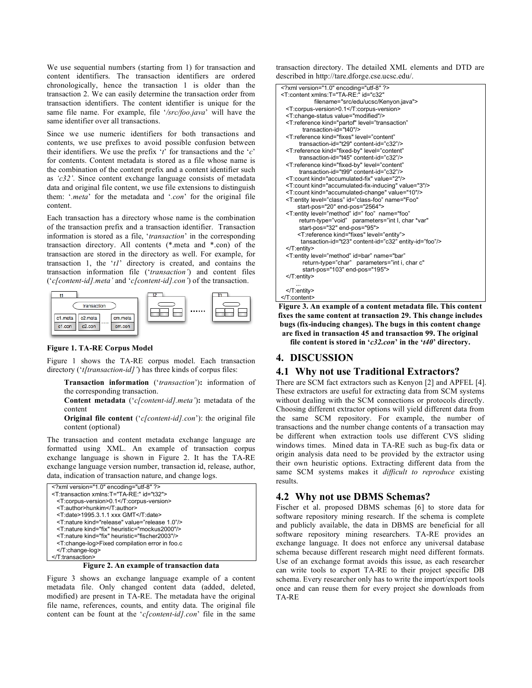We use sequential numbers (starting from 1) for transaction and content identifiers. The transaction identifiers are ordered chronologically, hence the transaction 1 is older than the transaction 2. We can easily determine the transaction order from transaction identifiers. The content identifier is unique for the same file name. For example, file '*/src/foo.java*' will have the same identifier over all transactions.

Since we use numeric identifiers for both transactions and contents, we use prefixes to avoid possible confusion between their identifiers. We use the prefix '*t*' for transactions and the '*c*' for contents. Content metadata is stored as a file whose name is the combination of the content prefix and a content identifier such as *'c32'*. Since content exchange language consists of metadata data and original file content, we use file extensions to distinguish them: '*.meta*' for the metadata and '*.con*' for the original file content.

Each transaction has a directory whose name is the combination of the transaction prefix and a transaction identifier. Transaction information is stored as a file, '*transaction*' in the corresponding transaction directory. All contents (\*.meta and \*.con) of the transaction are stored in the directory as well. For example, for transaction 1, the '*t1*' directory is created, and contains the transaction information file ('*transaction'*) and content files ('*c[content-id].meta'* and '*c[content-id].con'*) of the transaction.



#### **Figure 1. TA-RE Corpus Model**

Figure 1 shows the TA-RE corpus model. Each transaction directory ('*t[transaction-id]'*) has three kinds of corpus files:

**Transaction information** ('*transaction*')**:** information of the corresponding transaction.

**Content metadata** ('*c[content-id].meta'*)**:** metadata of the content

**Original file content** ('*c[content-id].con*'): the original file content (optional)

The transaction and content metadata exchange language are formatted using XML. An example of transaction corpus exchange language is shown in Figure 2. It has the TA-RE exchange language version number, transaction id, release, author, data, indication of transaction nature, and change logs.

| xml version="1.0" encoding="utf-8" ?                          |
|---------------------------------------------------------------|
| <t:transaction id="t32" xmlns:t="TA-RE:"></t:transaction>     |
| <t:corpus-version>0.1</t:corpus-version>                      |
| <t:author>hunkim</t:author>                                   |
| <t:date>1995.3.1.1 xxx GMT</t:date>                           |
| <t:nature kind="release" value="release 1.0"></t:nature>      |
| <t:nature heuristic="mockus2000" kind="fix"></t:nature>       |
| <t:nature heuristic="fischer2003" kind="fix"></t:nature>      |
| <t:change-log>Fixed compilation error in foo.c</t:change-log> |
|                                                               |
|                                                               |

**Figure 2. An example of transaction data**

Figure 3 shows an exchange language example of a content metadata file. Only changed content data (added, deleted, modified) are present in TA-RE. The metadata have the original file name, references, counts, and entity data. The original file content can be fount at the '*c[content-id].con*' file in the same transaction directory. The detailed XML elements and DTD are described in http://tare.dforge.cse.ucsc.edu/.

| xml version="1.0" encoding="utf-8" ?                                     |
|--------------------------------------------------------------------------|
| <t:content <="" id="c32" td="" xmlns:t="TA-RE:"></t:content>             |
| filename="src/edu/ucsc/Kenyon.java">                                     |
| <t:corpus-version>0.1</t:corpus-version>                                 |
| <t:change-status value="modified"></t:change-status>                     |
| <t:reference <="" kind="partof" level="transaction" td=""></t:reference> |
| transaction-id="t40"/>                                                   |
| <t:reference <="" kind="fixes" level="content" td=""></t:reference>      |
| transaction-id="t29" content-id="c32"/>                                  |
| <t:reference <="" kind="fixed-by" level="content" td=""></t:reference>   |
| transaction-id="t45" content-id="c32"/>                                  |
| <t:reference <="" kind="fixed-by" level="content" td=""></t:reference>   |
| transaction-id="t99" content-id="c32"/>                                  |
| <t:count kind="accumulated-fix" value="2"></t:count>                     |
| <t:count kind="accumulated-fix-inducing" value="3"></t:count>            |
| <t:count kind="accumulated-change" value="10"></t:count>                 |
| <t:entity <="" id="class-foo" level="class" name="Foo" td=""></t:entity> |
| start-pos="20" end-pos="2564">                                           |
| <t:entity <="" id=" foo" level="method" name="foo" td=""></t:entity>     |
| return-type="void" parameters="int I, char *var"                         |
| start-pos="32" end-pos="95">                                             |
| <t:reference kind="fixes" level="entity"></t:reference>                  |
| tansaction-id="t23" content-id="c32" entity-id="foo"/>                   |
|                                                                          |
| <t:entity <="" id='bar"' level="method" name="bar" td=""></t:entity>     |
| return-type="char" parameters="int i, char c"                            |
| start-pos="103" end-pos="195">                                           |
|                                                                          |
|                                                                          |
|                                                                          |
|                                                                          |
| Figure 3. An example of a content metadata file. This content            |

**fixes the same content at transaction 29. This change includes bugs (fix-inducing changes). The bugs in this content change are fixed in transaction 45 and transaction 99. The original file content is stored in '***c32.con***' in the '***t40***' directory.**

### **4. DISCUSSION**

### **4.1 Why not use Traditional Extractors?**

There are SCM fact extractors such as Kenyon [2] and APFEL [4]. These extractors are useful for extracting data from SCM systems without dealing with the SCM connections or protocols directly. Choosing different extractor options will yield different data from the same SCM repository. For example, the number of transactions and the number change contents of a transaction may be different when extraction tools use different CVS sliding windows times. Mined data in TA-RE such as bug-fix data or origin analysis data need to be provided by the extractor using their own heuristic options. Extracting different data from the same SCM systems makes it *difficult to reproduce* existing results.

#### **4.2 Why not use DBMS Schemas?**

Fischer et al. proposed DBMS schemas [6] to store data for software repository mining research. If the schema is complete and publicly available, the data in DBMS are beneficial for all software repository mining researchers. TA-RE provides an exchange language. It does not enforce any universal database schema because different research might need different formats. Use of an exchange format avoids this issue, as each researcher can write tools to export TA-RE to their project specific DB schema. Every researcher only has to write the import/export tools once and can reuse them for every project she downloads from TA-RE